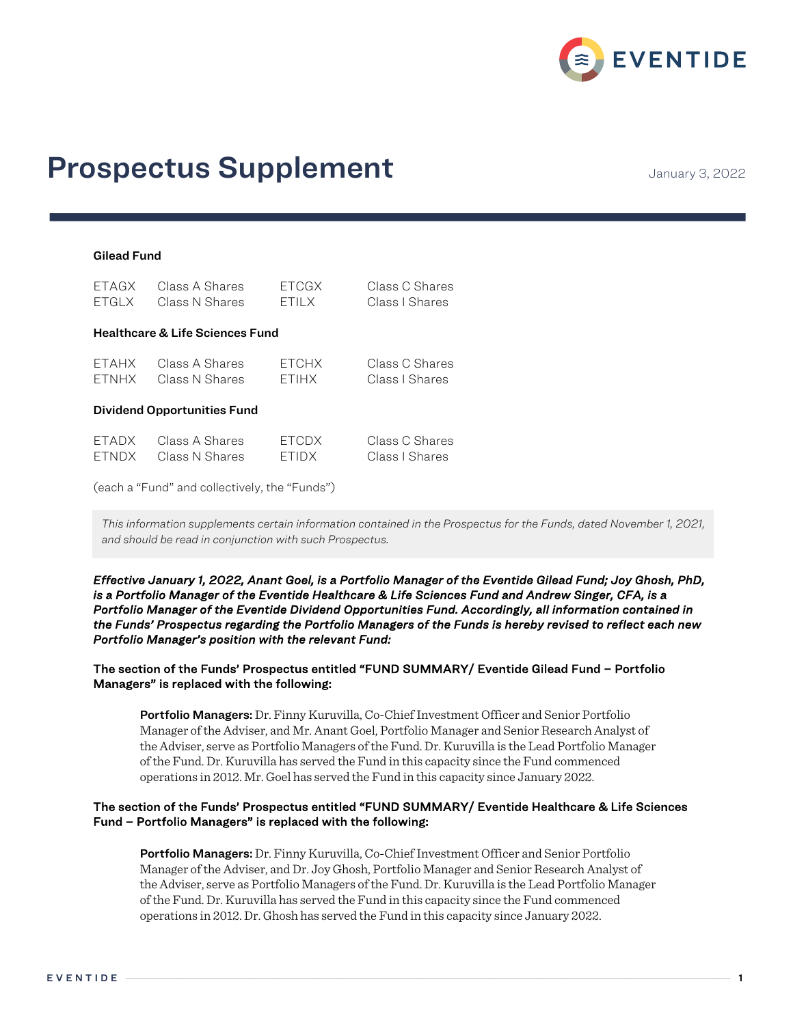

# **Prospectus Supplement** Manuary 3, 2022

# Gilead Fund

| <b>FTAGX</b> | Class A Shares                             | <b>ETCGX</b> | Class C Shares |
|--------------|--------------------------------------------|--------------|----------------|
| <b>ETGLX</b> | Class N Shares                             | <b>ETILX</b> | Class I Shares |
|              | <b>Healthcare &amp; Life Sciences Fund</b> |              |                |
| <b>FTAHX</b> | Class A Shares                             | <b>ETCHX</b> | Class C Shares |
| <b>FTNHX</b> | Class N Shares                             | <b>FTIHX</b> | Class I Shares |
|              | <b>Dividend Opportunities Fund</b>         |              |                |
| <b>ETADX</b> | Class A Shares                             | <b>ETCDX</b> | Class C Shares |
| <b>ETNDX</b> | Class N Shares                             | ETIDX        | Class I Shares |

(each a "Fund" and collectively, the "Funds")

*This information supplements certain information contained in the Prospectus for the Funds, dated November 1, 2021, and should be read in conjunction with such Prospectus.*

*Effective January 1, 2022, Anant Goel, is a Portfolio Manager of the Eventide Gilead Fund; Joy Ghosh, PhD, is a Portfolio Manager of the Eventide Healthcare & Life Sciences Fund and Andrew Singer, CFA, is a Portfolio Manager of the Eventide Dividend Opportunities Fund. Accordingly, all information contained in the Funds' Prospectus regarding the Portfolio Managers of the Funds is hereby revised to reflect each new Portfolio Manager's position with the relevant Fund:* 

## The section of the Funds' Prospectus entitled "FUND SUMMARY/ Eventide Gilead Fund – Portfolio Managers" is replaced with the following:

Portfolio Managers: Dr. Finny Kuruvilla, Co-Chief Investment Officer and Senior Portfolio Manager of the Adviser, and Mr. Anant Goel, Portfolio Manager and Senior Research Analyst of the Adviser, serve as Portfolio Managers of the Fund. Dr. Kuruvilla is the Lead Portfolio Manager of the Fund. Dr. Kuruvilla has served the Fund in this capacity since the Fund commenced operations in 2012. Mr. Goel has served the Fund in this capacity since January 2022.

## The section of the Funds' Prospectus entitled "FUND SUMMARY/ Eventide Healthcare & Life Sciences Fund – Portfolio Managers" is replaced with the following:

Portfolio Managers: Dr. Finny Kuruvilla, Co-Chief Investment Officer and Senior Portfolio Manager of the Adviser, and Dr. Joy Ghosh, Portfolio Manager and Senior Research Analyst of the Adviser, serve as Portfolio Managers of the Fund. Dr. Kuruvilla is the Lead Portfolio Manager of the Fund. Dr. Kuruvilla has served the Fund in this capacity since the Fund commenced operations in 2012. Dr. Ghosh has served the Fund in this capacity since January 2022.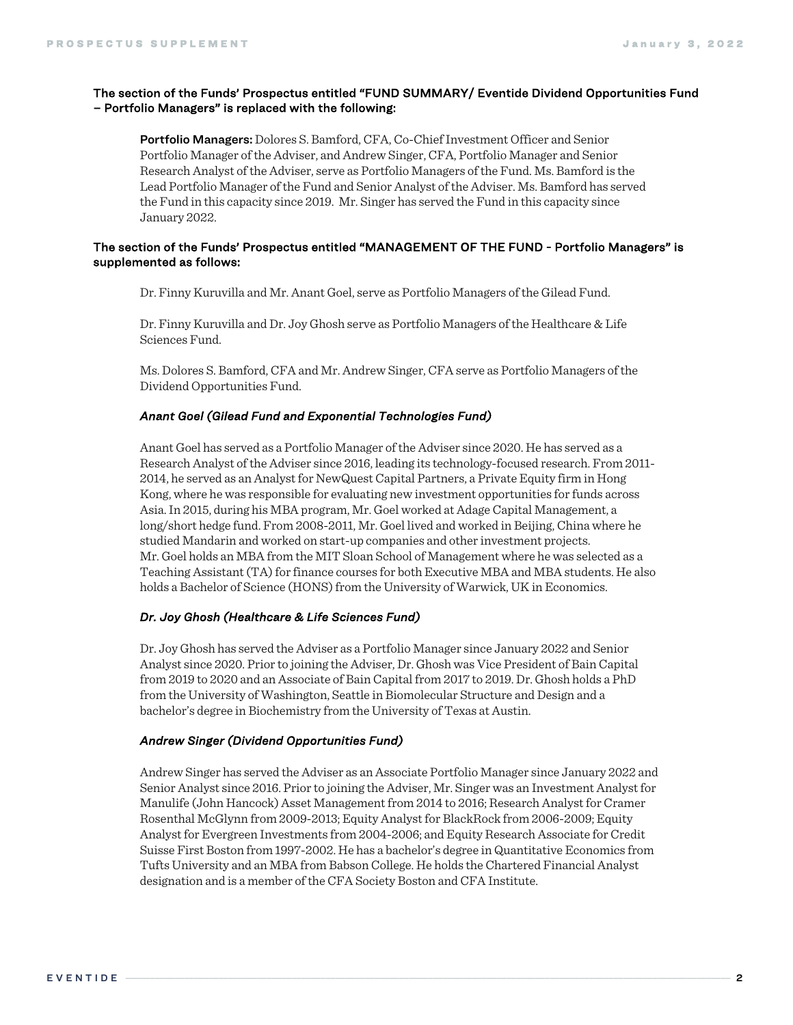### The section of the Funds' Prospectus entitled "FUND SUMMARY/ Eventide Dividend Opportunities Fund – Portfolio Managers" is replaced with the following:

**Portfolio Managers:** Dolores S. Bamford, CFA, Co-Chief Investment Officer and Senior Portfolio Manager of the Adviser, and Andrew Singer, CFA, Portfolio Manager and Senior Research Analyst of the Adviser, serve as Portfolio Managers of the Fund. Ms. Bamford is the Lead Portfolio Manager of the Fund and Senior Analyst of the Adviser. Ms. Bamford has served the Fund in this capacity since 2019. Mr. Singer has served the Fund in this capacity since January 2022.

## The section of the Funds' Prospectus entitled "MANAGEMENT OF THE FUND - Portfolio Managers" is supplemented as follows:

Dr. Finny Kuruvilla and Mr. Anant Goel, serve as Portfolio Managers of the Gilead Fund.

Dr. Finny Kuruvilla and Dr. Joy Ghosh serve as Portfolio Managers of the Healthcare & Life Sciences Fund.

Ms. Dolores S. Bamford, CFA and Mr. Andrew Singer, CFA serve as Portfolio Managers of the Dividend Opportunities Fund.

#### *Anant Goel (Gilead Fund and Exponential Technologies Fund)*

Anant Goel has served as a Portfolio Manager of the Adviser since 2020. He has served as a Research Analyst of the Adviser since 2016, leading its technology-focused research. From 2011- 2014, he served as an Analyst for NewQuest Capital Partners, a Private Equity firm in Hong Kong, where he was responsible for evaluating new investment opportunities for funds across Asia. In 2015, during his MBA program, Mr. Goel worked at Adage Capital Management, a long/short hedge fund. From 2008-2011, Mr. Goel lived and worked in Beijing, China where he studied Mandarin and worked on start-up companies and other investment projects. Mr. Goel holds an MBA from the MIT Sloan School of Management where he was selected as a Teaching Assistant (TA) for finance courses for both Executive MBA and MBA students. He also holds a Bachelor of Science (HONS) from the University of Warwick, UK in Economics.

#### *Dr. Joy Ghosh (Healthcare & Life Sciences Fund)*

Dr. Joy Ghosh has served the Adviser as a Portfolio Manager since January 2022 and Senior Analyst since 2020. Prior to joining the Adviser, Dr. Ghosh was Vice President of Bain Capital from 2019 to 2020 and an Associate of Bain Capital from 2017 to 2019. Dr. Ghosh holds a PhD from the University of Washington, Seattle in Biomolecular Structure and Design and a bachelor's degree in Biochemistry from the University of Texas at Austin.

#### *Andrew Singer (Dividend Opportunities Fund)*

Andrew Singer has served the Adviser as an Associate Portfolio Manager since January 2022 and Senior Analyst since 2016. Prior to joining the Adviser, Mr. Singer was an Investment Analyst for Manulife (John Hancock) Asset Management from 2014 to 2016; Research Analyst for Cramer Rosenthal McGlynn from 2009-2013; Equity Analyst for BlackRock from 2006-2009; Equity Analyst for Evergreen Investments from 2004-2006; and Equity Research Associate for Credit Suisse First Boston from 1997-2002. He has a bachelor's degree in Quantitative Economics from Tufts University and an MBA from Babson College. He holds the Chartered Financial Analyst designation and is a member of the CFA Society Boston and CFA Institute.